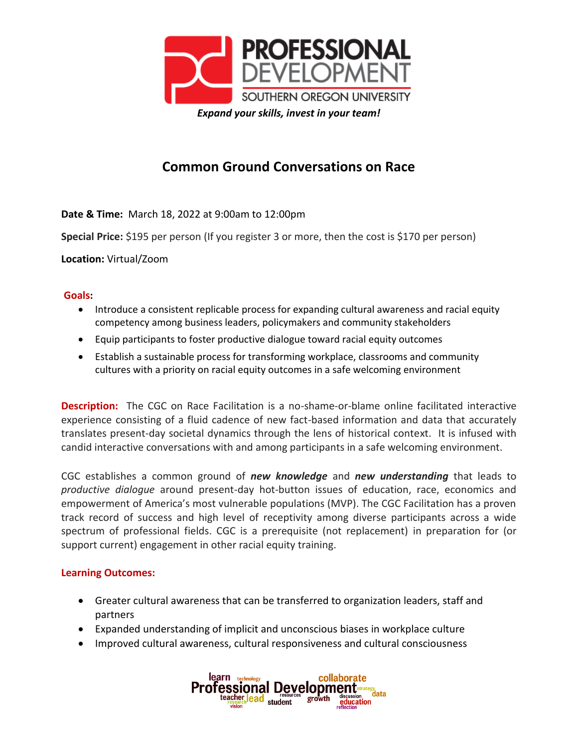

## **Common Ground Conversations on Race**

**Date & Time:** March 18, 2022 at 9:00am to 12:00pm

**Special Price:** \$195 per person (If you register 3 or more, then the cost is \$170 per person)

**Location:** Virtual/Zoom

## **Goals:**

- Introduce a consistent replicable process for expanding cultural awareness and racial equity competency among business leaders, policymakers and community stakeholders
- Equip participants to foster productive dialogue toward racial equity outcomes
- Establish a sustainable process for transforming workplace, classrooms and community cultures with a priority on racial equity outcomes in a safe welcoming environment

**Description:** The CGC on Race Facilitation is a no-shame-or-blame online facilitated interactive experience consisting of a fluid cadence of new fact-based information and data that accurately translates present-day societal dynamics through the lens of historical context. It is infused with candid interactive conversations with and among participants in a safe welcoming environment.

CGC establishes a common ground of *new knowledge* and *new understanding* that leads to *productive dialogue* around present-day hot-button issues of education, race, economics and empowerment of America's most vulnerable populations (MVP). The CGC Facilitation has a proven track record of success and high level of receptivity among diverse participants across a wide spectrum of professional fields. CGC is a prerequisite (not replacement) in preparation for (or support current) engagement in other racial equity training.

## **Learning Outcomes:**

- Greater cultural awareness that can be transferred to organization leaders, staff and partners
- Expanded understanding of implicit and unconscious biases in workplace culture
- Improved cultural awareness, cultural responsiveness and cultural consciousness